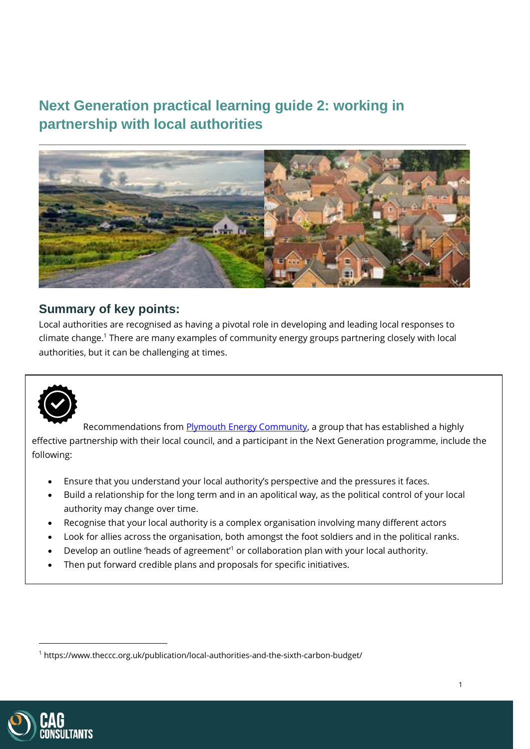# **Next Generation practical learning guide 2: working in partnership with local authorities**



## **Summary of key points:**

Local authorities are recognised as having a pivotal role in developing and leading local responses to climate change. <sup>1</sup> There are many examples of community energy groups partnering closely with local authorities, but it can be challenging at times.



Recommendations from **Plymouth Energy Community**, a group that has established a highly effective partnership with their local council, and a participant in the Next Generation programme, include the following:

- Ensure that you understand your local authority's perspective and the pressures it faces.
- Build a relationship for the long term and in an apolitical way, as the political control of your local authority may change over time.
- Recognise that your local authority is a complex organisation involving many different actors
- Look for allies across the organisation, both amongst the foot soldiers and in the political ranks.
- Develop an outline 'heads of agreement'<sup>1</sup> or collaboration plan with your local authority.
- Then put forward credible plans and proposals for specific initiatives.



<sup>1</sup> https://www.theccc.org.uk/publication/local-authorities-and-the-sixth-carbon-budget/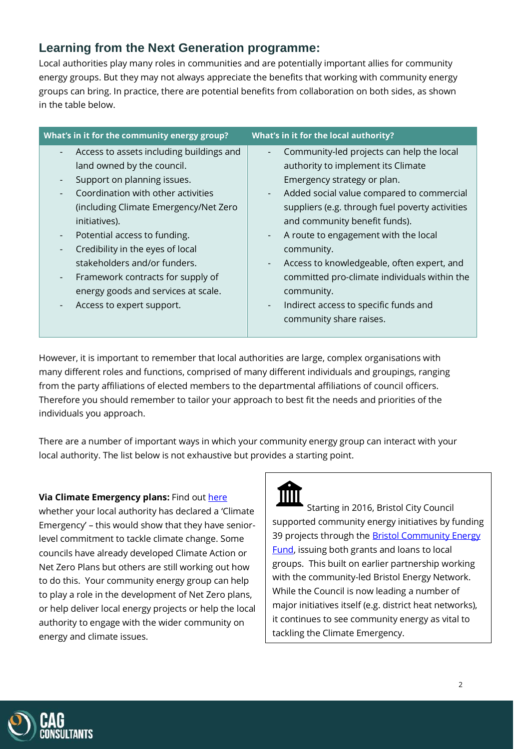## **Learning from the Next Generation programme:**

Local authorities play many roles in communities and are potentially important allies for community energy groups. But they may not always appreciate the benefits that working with community energy groups can bring. In practice, there are potential benefits from collaboration on both sides, as shown in the table below.

| What's in it for the community energy group?                                                                                                                                                                                                                                                                                                                                                                                                                               | What's in it for the local authority?                                                                                                                                                                                                                                                                                                                                                                                                                                                                                                                                                                                             |
|----------------------------------------------------------------------------------------------------------------------------------------------------------------------------------------------------------------------------------------------------------------------------------------------------------------------------------------------------------------------------------------------------------------------------------------------------------------------------|-----------------------------------------------------------------------------------------------------------------------------------------------------------------------------------------------------------------------------------------------------------------------------------------------------------------------------------------------------------------------------------------------------------------------------------------------------------------------------------------------------------------------------------------------------------------------------------------------------------------------------------|
| Access to assets including buildings and<br>land owned by the council.<br>Support on planning issues.<br>Coordination with other activities<br>(including Climate Emergency/Net Zero<br>initiatives).<br>Potential access to funding.<br>$\overline{\phantom{a}}$<br>Credibility in the eyes of local<br>stakeholders and/or funders.<br>Framework contracts for supply of<br>$\overline{\phantom{a}}$<br>energy goods and services at scale.<br>Access to expert support. | Community-led projects can help the local<br>$\overline{\phantom{0}}$<br>authority to implement its Climate<br>Emergency strategy or plan.<br>Added social value compared to commercial<br>$\overline{\phantom{a}}$<br>suppliers (e.g. through fuel poverty activities<br>and community benefit funds).<br>A route to engagement with the local<br>$\overline{\phantom{a}}$<br>community.<br>Access to knowledgeable, often expert, and<br>$\overline{\phantom{a}}$<br>committed pro-climate individuals within the<br>community.<br>Indirect access to specific funds and<br>$\overline{\phantom{0}}$<br>community share raises. |
|                                                                                                                                                                                                                                                                                                                                                                                                                                                                            |                                                                                                                                                                                                                                                                                                                                                                                                                                                                                                                                                                                                                                   |

However, it is important to remember that local authorities are large, complex organisations with many different roles and functions, comprised of many different individuals and groupings, ranging from the party affiliations of elected members to the departmental affiliations of council officers. Therefore you should remember to tailor your approach to best fit the needs and priorities of the individuals you approach.

There are a number of important ways in which your community energy group can interact with your local authority. The list below is not exhaustive but provides a starting point.

#### **Via Climate Emergency plans:** Find ou[t here](https://www.climateemergency.uk/blog/list-of-councils/)

whether your local authority has declared a 'Climate Emergency' – this would show that they have seniorlevel commitment to tackle climate change. Some councils have already developed Climate Action or Net Zero Plans but others are still working out how to do this. Your community energy group can help to play a role in the development of Net Zero plans, or help deliver local energy projects or help the local authority to engage with the wider community on energy and climate issues.



Starting in 2016, Bristol City Council supported community energy initiatives by funding 39 projects through the **Bristol Community Energy** [Fund,](https://www.bristolcommunityenergy.co.uk/) issuing both grants and loans to local groups. This built on earlier partnership working with the community-led Bristol Energy Network. While the Council is now leading a number of major initiatives itself (e.g. district heat networks), it continues to see community energy as vital to tackling the Climate Emergency.

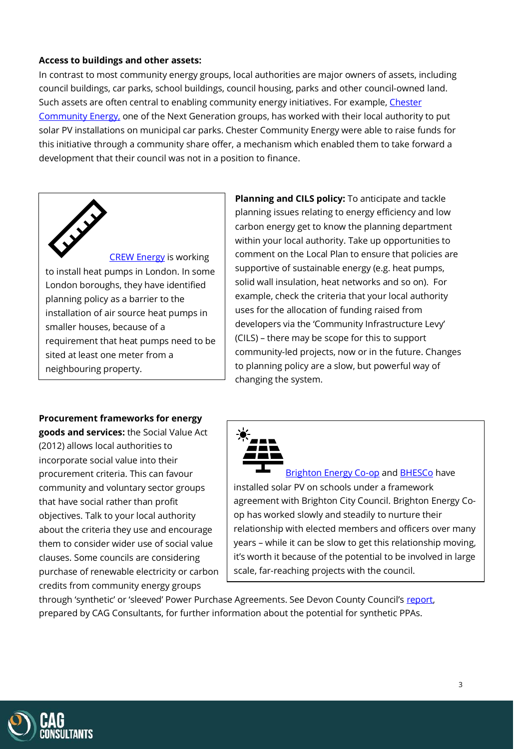#### **Access to buildings and other assets:**

In contrast to most community energy groups, local authorities are major owners of assets, including council buildings, car parks, school buildings, council housing, parks and other council-owned land. Such assets are often central to enabling community energy initiatives. For example[, Chester](http://www.chestercommunityenergy.org.uk/)  [Community Energy,](http://www.chestercommunityenergy.org.uk/) one of the Next Generation groups, has worked with their local authority to put solar PV installations on municipal car parks. Chester Community Energy were able to raise funds for this initiative through a community share offer, a mechanism which enabled them to take forward a development that their council was not in a position to finance.



[CREW Energy](https://www.crewenergy.london/) is working to install heat pumps in London. In some London boroughs, they have identified planning policy as a barrier to the installation of air source heat pumps in smaller houses, because of a requirement that heat pumps need to be sited at least one meter from a neighbouring property.

**Planning and CILS policy:** To anticipate and tackle planning issues relating to energy efficiency and low carbon energy get to know the planning department within your local authority. Take up opportunities to comment on the Local Plan to ensure that policies are supportive of sustainable energy (e.g. heat pumps, solid wall insulation, heat networks and so on). For example, check the criteria that your local authority uses for the allocation of funding raised from developers via the 'Community Infrastructure Levy' (CILS) – there may be scope for this to support community-led projects, now or in the future. Changes to planning policy are a slow, but powerful way of changing the system.

#### **Procurement frameworks for energy**

**goods and services:** the Social Value Act (2012) allows local authorities to incorporate social value into their procurement criteria. This can favour community and voluntary sector groups that have social rather than profit objectives. Talk to your local authority about the criteria they use and encourage them to consider wider use of social value clauses. Some councils are considering purchase of renewable electricity or carbon credits from community energy groups



[Brighton Energy Co-op](https://brightonenergy.org.uk/) and [BHESCo](https://bhesco.co.uk/) have installed solar PV on schools under a framework agreement with Brighton City Council. Brighton Energy Coop has worked slowly and steadily to nurture their relationship with elected members and officers over many years – while it can be slow to get this relationship moving, it's worth it because of the potential to be involved in large scale, far-reaching projects with the council.

through 'synthetic' or 'sleeved' Power Purchase Agreements. See Devon County Council's [report,](https://cagconsultants.co.uk/wp-content/uploads/2021/06/Final-Report-March2021.pdf) prepared by CAG Consultants, for further information about the potential for synthetic PPAs.

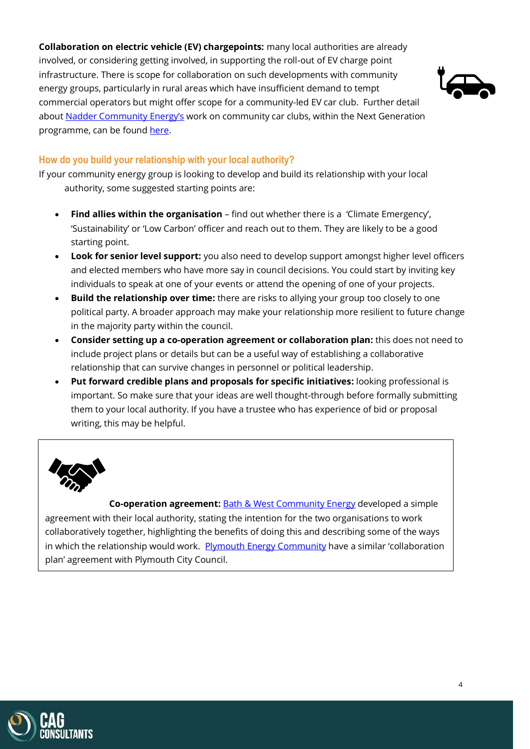**Collaboration on electric vehicle (EV) chargepoints:** many local authorities are already involved, or considering getting involved, in supporting the roll-out of EV charge point infrastructure. There is scope for collaboration on such developments with community energy groups, particularly in rural areas which have insufficient demand to tempt commercial operators but might offer scope for a community-led EV car club. Further detail about [Nadder Community Energy's](https://www.nadderce.org.uk/) work on community car clubs, within the Next Generation programme, can be found [here.](https://www.tisburyelectriccarclub.com/)



### **How do you build your relationship with your local authority?**

If your community energy group is looking to develop and build its relationship with your local authority, some suggested starting points are:

- **Find allies within the organisation** find out whether there is a 'Climate Emergency', 'Sustainability' or 'Low Carbon' officer and reach out to them. They are likely to be a good starting point.
- **Look for senior level support:** you also need to develop support amongst higher level officers and elected members who have more say in council decisions. You could start by inviting key individuals to speak at one of your events or attend the opening of one of your projects.
- **Build the relationship over time:** there are risks to allying your group too closely to one political party. A broader approach may make your relationship more resilient to future change in the majority party within the council.
- **Consider setting up a co-operation agreement or collaboration plan:** this does not need to include project plans or details but can be a useful way of establishing a collaborative relationship that can survive changes in personnel or political leadership.
- **Put forward credible plans and proposals for specific initiatives:** looking professional is important. So make sure that your ideas are well thought-through before formally submitting them to your local authority. If you have a trustee who has experience of bid or proposal writing, this may be helpful.



**Co-operation agreement:** [Bath & West Community Energy](https://www.bwce.coop/) developed a simple agreement with their local authority, stating the intention for the two organisations to work collaboratively together, highlighting the benefits of doing this and describing some of the ways in which the relationship would work. [Plymouth Energy Community](https://plymouthenergycommunity.com/) have a similar 'collaboration plan' agreement with Plymouth City Council.